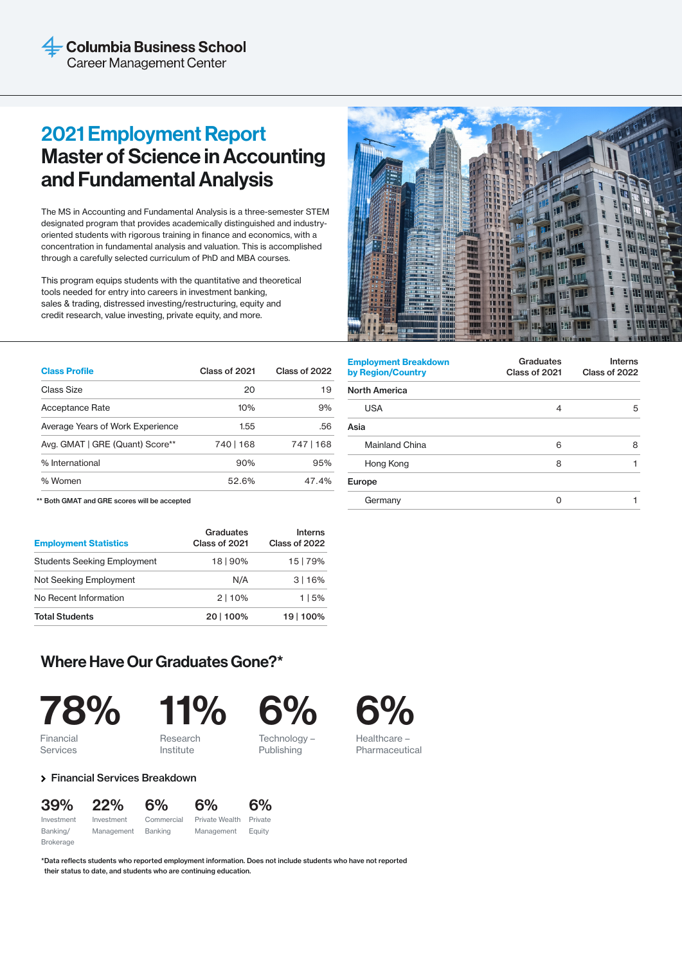# 2021 Employment Report Master of Science in Accounting and Fundamental Analysis

The MS in Accounting and Fundamental Analysis is a three-semester STEM designated program that provides academically distinguished and industryoriented students with rigorous training in finance and economics, with a concentration in fundamental analysis and valuation. This is accomplished through a carefully selected curriculum of PhD and MBA courses.

This program equips students with the quantitative and theoretical tools needed for entry into careers in investment banking, sales & trading, distressed investing/restructuring, equity and credit research, value investing, private equity, and more.

| <b>Class Profile</b>             | Class of 2021 | Class of 2022 |
|----------------------------------|---------------|---------------|
| Class Size                       | 20            | 19            |
| Acceptance Rate                  | 10%           | 9%            |
| Average Years of Work Experience | 1.55          | .56           |
| Avg. GMAT   GRE (Quant) Score**  | 740   168     | 747   168     |
| % International                  | 90%           | 95%           |
| % Women                          | 52.6%         | 47.4%         |

| <b>Employment Breakdown</b><br>by Region/Country | Graduates<br>Class of 2021 | <b>Interns</b><br>Class of 2022 |
|--------------------------------------------------|----------------------------|---------------------------------|
| <b>North America</b>                             |                            |                                 |
| <b>USA</b>                                       | 4                          | 5                               |
| Asia                                             |                            |                                 |
| Mainland China                                   | 6                          | 8                               |
| Hong Kong                                        | 8                          |                                 |
| Europe                                           |                            |                                 |
| Germany                                          |                            |                                 |

\*\* Both GMAT and GRE scores will be accepted

| <b>Employment Statistics</b>       | Graduates<br>Class of 2021 | <b>Interns</b><br>Class of 2022<br>15   79% |  |
|------------------------------------|----------------------------|---------------------------------------------|--|
| <b>Students Seeking Employment</b> | 18   90%                   |                                             |  |
| Not Seeking Employment             | N/A                        | 3116%                                       |  |
| No Recent Information              | 2 10%                      | 115%                                        |  |
| <b>Total Students</b>              | 20   100%                  | 19   100%                                   |  |

# Where Have Our Graduates Gone?\*



**Services** 

11%

Research Institute



Publishing



Pharmaceutical

Financial Services Breakdown

| 39%              | 22%        | 6%         | 6%             | 6%      |
|------------------|------------|------------|----------------|---------|
| Investment       | Investment | Commercial | Private Wealth | Private |
| Banking/         | Management | Banking    | Management     | Eauity  |
| <b>Brokerage</b> |            |            |                |         |

\*Data reflects students who reported employment information. Does not include students who have not reported their status to date, and students who are continuing education.